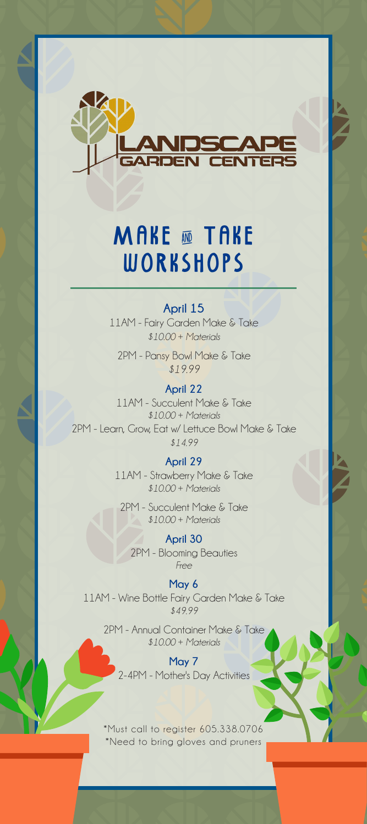

# **MAKE <b>M** TAKE **WORKSHOPS**

# **April 15**

11AM - Fairy Garden Make & Take *\$10.00 + Materials*

2PM - Pansy Bowl Make & Take *\$19.99*

### **April 22**

11AM - Succulent Make & Take *\$10.00 + Materials* 2PM - Learn, Grow, Eat w/ Lettuce Bowl Make & Take *\$14.99* 

# **April 29**

11AM - Strawberry Make & Take *\$10.00 + Materials*

2PM - Succulent Make & Take *\$10.00 + Materials*

**April 30** 2PM - Blooming Beauties *Free*

**May 6** 11AM - Wine Bottle Fairy Garden Make & Take *\$49.99* 

2PM - Annual Container Make & Take *\$10.00 + Materials*

**May 7** 2-4PM - Mother's Day Activities

\*Must call to register 605.338.0706 \*Need to bring gloves and pruners